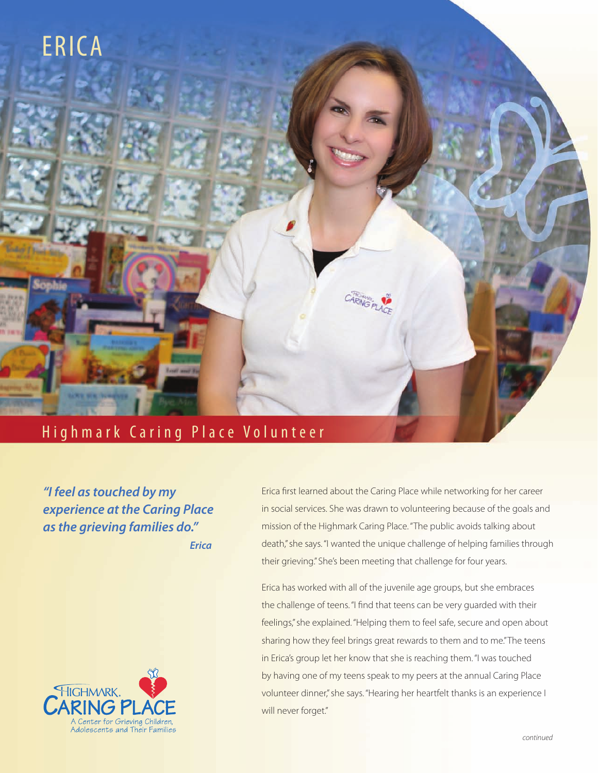

## Highmark Caring Place Volunteer

*"I feel as touched by my experience at the Caring Place as the grieving families do." Erica*



Erica first learned about the Caring Place while networking for her career in social services. She was drawn to volunteering because of the goals and mission of the Highmark Caring Place. "The public avoids talking about death," she says. "I wanted the unique challenge of helping families through their grieving." She's been meeting that challenge for four years.

Erica has worked with all of the juvenile age groups, but she embraces the challenge of teens. "I find that teens can be very guarded with their feelings," she explained. "Helping them to feel safe, secure and open about sharing how they feel brings great rewards to them and to me." The teens in Erica's group let her know that she is reaching them. "I was touched by having one of my teens speak to my peers at the annual Caring Place volunteer dinner," she says. "Hearing her heartfelt thanks is an experience I will never forget."